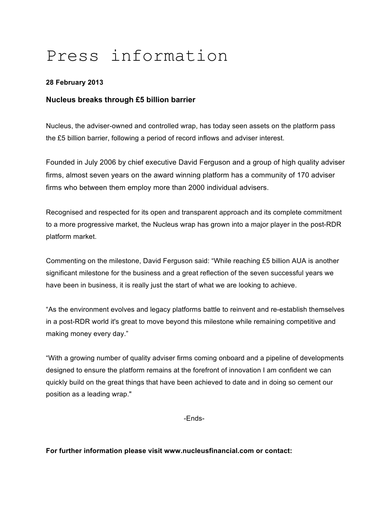# Press information

## **28 February 2013**

## **Nucleus breaks through £5 billion barrier**

Nucleus, the adviser-owned and controlled wrap, has today seen assets on the platform pass the £5 billion barrier, following a period of record inflows and adviser interest.

Founded in July 2006 by chief executive David Ferguson and a group of high quality adviser firms, almost seven years on the award winning platform has a community of 170 adviser firms who between them employ more than 2000 individual advisers.

Recognised and respected for its open and transparent approach and its complete commitment to a more progressive market, the Nucleus wrap has grown into a major player in the post-RDR platform market.

Commenting on the milestone, David Ferguson said: "While reaching £5 billion AUA is another significant milestone for the business and a great reflection of the seven successful years we have been in business, it is really just the start of what we are looking to achieve.

"As the environment evolves and legacy platforms battle to reinvent and re-establish themselves in a post-RDR world it's great to move beyond this milestone while remaining competitive and making money every day."

"With a growing number of quality adviser firms coming onboard and a pipeline of developments designed to ensure the platform remains at the forefront of innovation I am confident we can quickly build on the great things that have been achieved to date and in doing so cement our position as a leading wrap."

-Ends-

**For further information please visit www.nucleusfinancial.com or contact:**